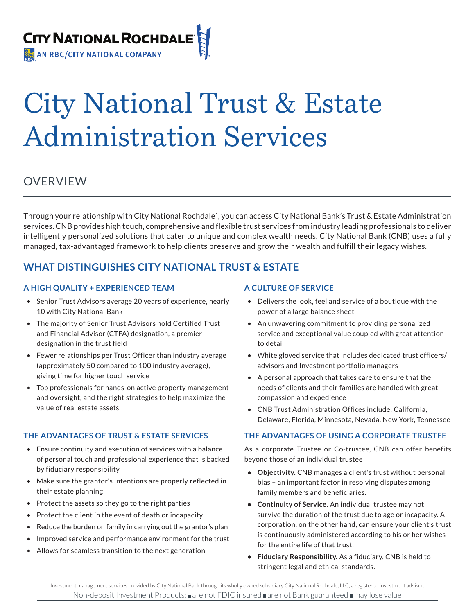

# City National Trust & Estate Administration Services

# OVERVIEW

Through your relationship with City National Rochdale<sup>1</sup>, you can access City National Bank's Trust & Estate Administration services. CNB provides high touch, comprehensive and flexible trust services from industry leading professionals to deliver intelligently personalized solutions that cater to unique and complex wealth needs. City National Bank (CNB) uses a fully managed, tax-advantaged framework to help clients preserve and grow their wealth and fulfill their legacy wishes.

# **WHAT DISTINGUISHES CITY NATIONAL TRUST & ESTATE**

#### **A HIGH QUALITY + EXPERIENCED TEAM**

- Senior Trust Advisors average 20 years of experience, nearly 10 with City National Bank
- The majority of Senior Trust Advisors hold Certified Trust and Financial Advisor (CTFA) designation, a premier designation in the trust field
- Fewer relationships per Trust Officer than industry average (approximately 50 compared to 100 industry average), giving time for higher touch service
- Top professionals for hands-on active property management and oversight, and the right strategies to help maximize the value of real estate assets

## **THE ADVANTAGES OF TRUST & ESTATE SERVICES**

- Ensure continuity and execution of services with a balance of personal touch and professional experience that is backed by fiduciary responsibility
- Make sure the grantor's intentions are properly reflected in their estate planning
- Protect the assets so they go to the right parties
- Protect the client in the event of death or incapacity
- Reduce the burden on family in carrying out the grantor's plan
- Improved service and performance environment for the trust
- Allows for seamless transition to the next generation

#### **A CULTURE OF SERVICE**

- Delivers the look, feel and service of a boutique with the power of a large balance sheet
- An unwavering commitment to providing personalized service and exceptional value coupled with great attention to detail
- White gloved service that includes dedicated trust officers/ advisors and Investment portfolio managers
- A personal approach that takes care to ensure that the needs of clients and their families are handled with great compassion and expedience
- CNB Trust Administration Offices include: California, Delaware, Florida, Minnesota, Nevada, New York, Tennessee

#### **THE ADVANTAGES OF USING A CORPORATE TRUSTEE**

As a corporate Trustee or Co-trustee, CNB can offer benefits beyond those of an individual trustee

- **• Objectivity.** CNB manages a client's trust without personal bias – an important factor in resolving disputes among family members and beneficiaries.
- **• Continuity of Service.** An individual trustee may not survive the duration of the trust due to age or incapacity. A corporation, on the other hand, can ensure your client's trust is continuously administered according to his or her wishes for the entire life of that trust.
- **• Fiduciary Responsibility.** As a fiduciary, CNB is held to stringent legal and ethical standards.